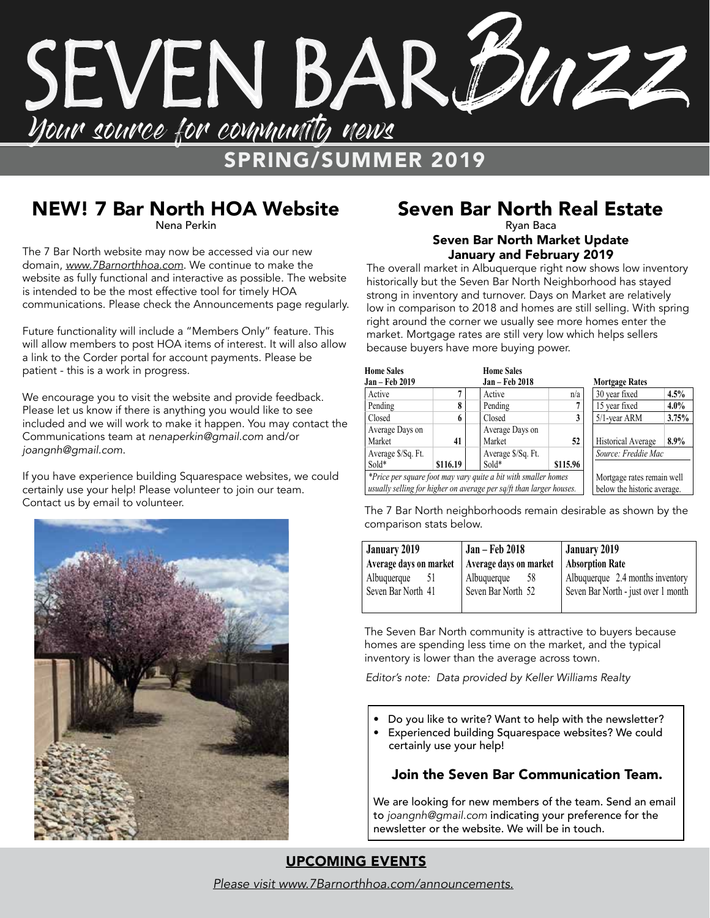

## NEW! 7 Bar North HOA Website

Nena Perkin

The 7 Bar North website may now be accessed via our new domain, *www.7Barnorthhoa.com*. We continue to make the website as fully functional and interactive as possible. The website is intended to be the most effective tool for timely HOA communications. Please check the Announcements page regularly.

Future functionality will include a "Members Only" feature. This will allow members to post HOA items of interest. It will also allow a link to the Corder portal for account payments. Please be patient - this is a work in progress.

We encourage you to visit the website and provide feedback. Please let us know if there is anything you would like to see included and we will work to make it happen. You may contact the Communications team at *nenaperkin@gmail.com* and/or *joangnh@gmail.com*.

If you have experience building Squarespace websites, we could certainly use your help! Please volunteer to join our team. Contact us by email to volunteer.



### Seven Bar North Real Estate Ryan Baca

### Seven Bar North Market Update January and February 2019

The overall market in Albuquerque right now shows low inventory historically but the Seven Bar North Neighborhood has stayed strong in inventory and turnover. Days on Market are relatively low in comparison to 2018 and homes are still selling. With spring right around the corner we usually see more homes enter the market. Mortgage rates are still very low which helps sellers because buyers have more buying power.

| <b>Home Sales</b>                                                   |          | <b>Home Sales</b>     |                            |                             |                       |  |
|---------------------------------------------------------------------|----------|-----------------------|----------------------------|-----------------------------|-----------------------|--|
| Jan - Feb 2019                                                      |          | <b>Jan – Feb 2018</b> |                            |                             | <b>Mortgage Rates</b> |  |
| Active                                                              |          | Active                | n/a                        | 30 year fixed               | 4.5%                  |  |
| Pending                                                             | 8        | Pending               |                            | 15 year fixed               | $4.0\%$               |  |
| Closed                                                              | 6        | Closed                | 3                          | 5/1-year ARM                | 3.75%                 |  |
| Average Days on                                                     |          | Average Days on       |                            |                             |                       |  |
| Market                                                              | 41       | Market                | 52                         | Historical Average          | 8.9%                  |  |
| Average \$/Sq. Ft.                                                  |          | Average \$/Sq. Ft.    |                            | Source: Freddie Mac         |                       |  |
| $Sold*$                                                             | \$116.19 | $Sold*$               | \$115.96                   |                             |                       |  |
| *Price per square foot may vary quite a bit with smaller homes      |          |                       | Mortgage rates remain well |                             |                       |  |
| usually selling for higher on average per sq/ft than larger houses. |          |                       |                            | below the historic average. |                       |  |

The 7 Bar North neighborhoods remain desirable as shown by the comparison stats below.

| <b>January 2019</b>    | Jan – Feb 2018         | January 2019                        |  |
|------------------------|------------------------|-------------------------------------|--|
| Average days on market | Average days on market | <b>Absorption Rate</b>              |  |
| Albuquerque<br>51      | Albuquerque<br>58      | Albuquerque 2.4 months inventory    |  |
| Seven Bar North 41     | Seven Bar North 52     | Seven Bar North - just over 1 month |  |
|                        |                        |                                     |  |

The Seven Bar North community is attractive to buyers because homes are spending less time on the market, and the typical inventory is lower than the average across town.

*Editor's note: Data provided by Keller Williams Realty*

- Do you like to write? Want to help with the newsletter?
- Experienced building Squarespace websites? We could certainly use your help!

### Join the Seven Bar Communication Team.

We are looking for new members of the team. Send an email to *joangnh@gmail.com* indicating your preference for the newsletter or the website. We will be in touch.

### UPCOMING EVENTS

*Please visit www.7Barnorthhoa.com/announcements.*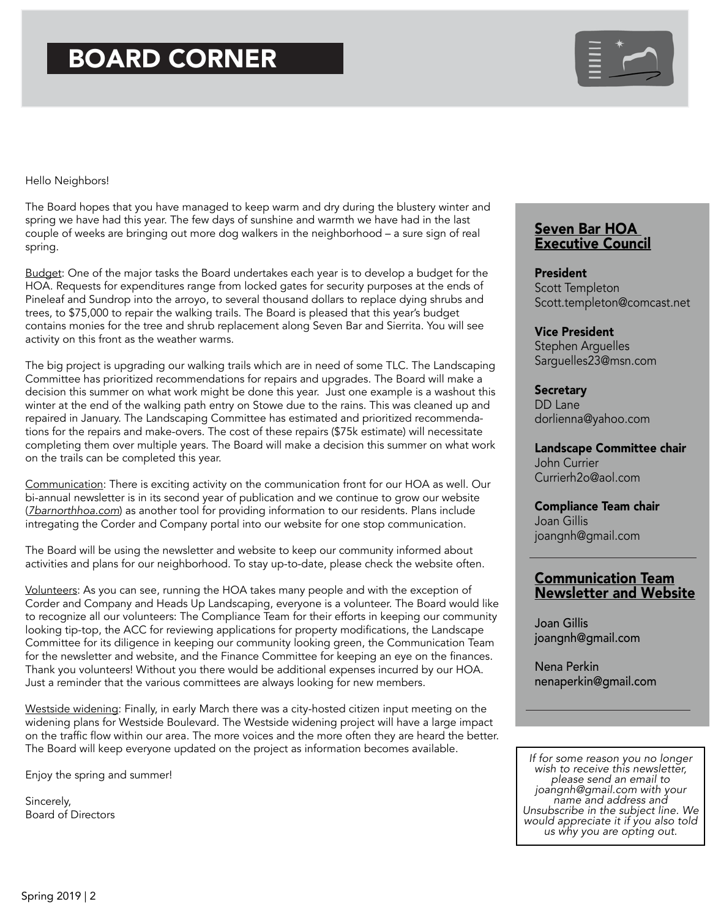# BOARD CORNER



#### Hello Neighbors!

The Board hopes that you have managed to keep warm and dry during the blustery winter and spring we have had this year. The few days of sunshine and warmth we have had in the last couple of weeks are bringing out more dog walkers in the neighborhood – a sure sign of real spring.

Budget: One of the major tasks the Board undertakes each year is to develop a budget for the HOA. Requests for expenditures range from locked gates for security purposes at the ends of Pineleaf and Sundrop into the arroyo, to several thousand dollars to replace dying shrubs and trees, to \$75,000 to repair the walking trails. The Board is pleased that this year's budget contains monies for the tree and shrub replacement along Seven Bar and Sierrita. You will see activity on this front as the weather warms.

The big project is upgrading our walking trails which are in need of some TLC. The Landscaping Committee has prioritized recommendations for repairs and upgrades. The Board will make a decision this summer on what work might be done this year. Just one example is a washout this winter at the end of the walking path entry on Stowe due to the rains. This was cleaned up and repaired in January. The Landscaping Committee has estimated and prioritized recommendations for the repairs and make-overs. The cost of these repairs (\$75k estimate) will necessitate completing them over multiple years. The Board will make a decision this summer on what work on the trails can be completed this year.

Communication: There is exciting activity on the communication front for our HOA as well. Our bi-annual newsletter is in its second year of publication and we continue to grow our website (*7barnorthhoa.com*) as another tool for providing information to our residents. Plans include intregating the Corder and Company portal into our website for one stop communication.

The Board will be using the newsletter and website to keep our community informed about activities and plans for our neighborhood. To stay up-to-date, please check the website often.

Volunteers: As you can see, running the HOA takes many people and with the exception of Corder and Company and Heads Up Landscaping, everyone is a volunteer. The Board would like to recognize all our volunteers: The Compliance Team for their efforts in keeping our community looking tip-top, the ACC for reviewing applications for property modifications, the Landscape Committee for its diligence in keeping our community looking green, the Communication Team for the newsletter and website, and the Finance Committee for keeping an eye on the finances. Thank you volunteers! Without you there would be additional expenses incurred by our HOA. Just a reminder that the various committees are always looking for new members.

Westside widening: Finally, in early March there was a city-hosted citizen input meeting on the widening plans for Westside Boulevard. The Westside widening project will have a large impact on the traffic flow within our area. The more voices and the more often they are heard the better. The Board will keep everyone updated on the project as information becomes available.

Enjoy the spring and summer!

Sincerely, Board of Directors

### Seven Bar HOA Executive Council

President Scott Templeton Scott.templeton@comcast.net

Vice President Stephen Arguelles Sarguelles23@msn.com

**Secretary** DD Lane dorlienna@yahoo.com

Landscape Committee chair John Currier Currierh2o@aol.com

Compliance Team chair Joan Gillis joangnh@gmail.com

### Communication Team Newsletter and Website

Joan Gillis joangnh@gmail.com

Nena Perkin nenaperkin@gmail.com

*If for some reason you no longer wish to receive this newsletter, please send an email to joangnh@gmail.com with your name and address and Unsubscribe in the subject line. We would appreciate it if you also told us why you are opting out.*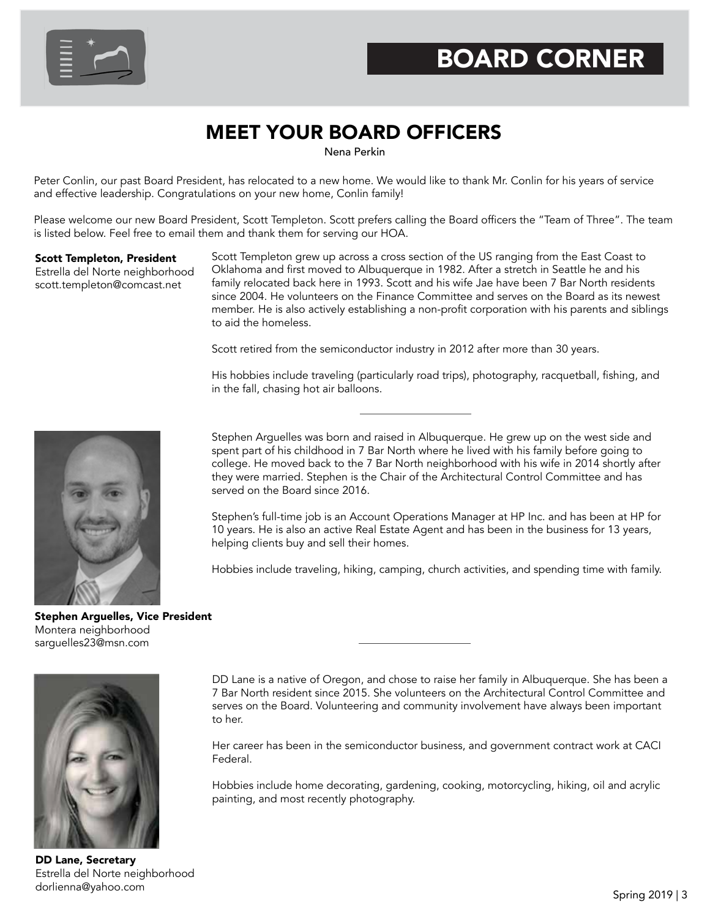

## MEET YOUR BOARD OFFICERS

Nena Perkin

Peter Conlin, our past Board President, has relocated to a new home. We would like to thank Mr. Conlin for his years of service and effective leadership. Congratulations on your new home, Conlin family!

Please welcome our new Board President, Scott Templeton. Scott prefers calling the Board officers the "Team of Three". The team is listed below. Feel free to email them and thank them for serving our HOA.

#### Scott Templeton, President

Estrella del Norte neighborhood scott.templeton@comcast.net

Scott Templeton grew up across a cross section of the US ranging from the East Coast to Oklahoma and first moved to Albuquerque in 1982. After a stretch in Seattle he and his family relocated back here in 1993. Scott and his wife Jae have been 7 Bar North residents since 2004. He volunteers on the Finance Committee and serves on the Board as its newest member. He is also actively establishing a non-profit corporation with his parents and siblings to aid the homeless.

Scott retired from the semiconductor industry in 2012 after more than 30 years.

His hobbies include traveling (particularly road trips), photography, racquetball, fishing, and in the fall, chasing hot air balloons.



Stephen Arguelles was born and raised in Albuquerque. He grew up on the west side and spent part of his childhood in 7 Bar North where he lived with his family before going to college. He moved back to the 7 Bar North neighborhood with his wife in 2014 shortly after they were married. Stephen is the Chair of the Architectural Control Committee and has served on the Board since 2016.

Stephen's full-time job is an Account Operations Manager at HP Inc. and has been at HP for 10 years. He is also an active Real Estate Agent and has been in the business for 13 years, helping clients buy and sell their homes.

Hobbies include traveling, hiking, camping, church activities, and spending time with family.

Stephen Arguelles, Vice President Montera neighborhood sarguelles23@msn.com



DD Lane is a native of Oregon, and chose to raise her family in Albuquerque. She has been a 7 Bar North resident since 2015. She volunteers on the Architectural Control Committee and serves on the Board. Volunteering and community involvement have always been important to her.

Her career has been in the semiconductor business, and government contract work at CACI Federal.

Hobbies include home decorating, gardening, cooking, motorcycling, hiking, oil and acrylic painting, and most recently photography.

DD Lane, Secretary Estrella del Norte neighborhood dorlienna@yahoo.com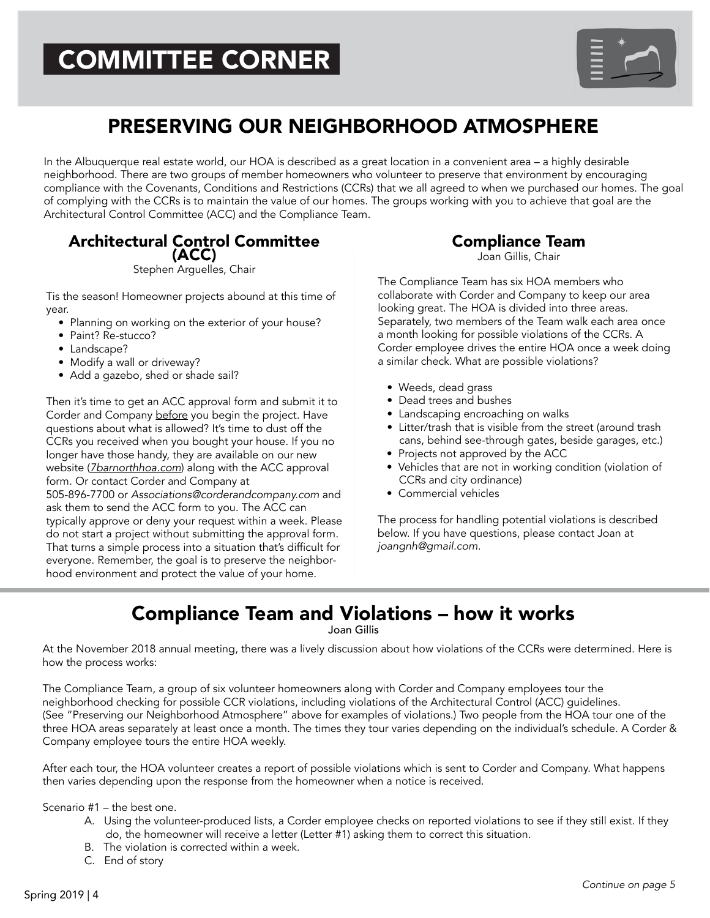# COMMITTEE CORNER



### PRESERVING OUR NEIGHBORHOOD ATMOSPHERE

In the Albuquerque real estate world, our HOA is described as a great location in a convenient area – a highly desirable neighborhood. There are two groups of member homeowners who volunteer to preserve that environment by encouraging compliance with the Covenants, Conditions and Restrictions (CCRs) that we all agreed to when we purchased our homes. The goal of complying with the CCRs is to maintain the value of our homes. The groups working with you to achieve that goal are the Architectural Control Committee (ACC) and the Compliance Team.

### Architectural Control Committee (ACC)

Stephen Arguelles, Chair

Tis the season! Homeowner projects abound at this time of year.

- Planning on working on the exterior of your house?
- Paint? Re-stucco?
- Landscape?
- Modify a wall or driveway?
- Add a gazebo, shed or shade sail?

Then it's time to get an ACC approval form and submit it to Corder and Company before you begin the project. Have questions about what is allowed? It's time to dust off the CCRs you received when you bought your house. If you no longer have those handy, they are available on our new website (*7barnorthhoa.com*) along with the ACC approval form. Or contact Corder and Company at 505-896-7700 or *Associations@corderandcompany.com* and

ask them to send the ACC form to you. The ACC can typically approve or deny your request within a week. Please do not start a project without submitting the approval form. That turns a simple process into a situation that's difficult for everyone. Remember, the goal is to preserve the neighborhood environment and protect the value of your home.

Compliance Team

Joan Gillis, Chair

The Compliance Team has six HOA members who collaborate with Corder and Company to keep our area looking great. The HOA is divided into three areas. Separately, two members of the Team walk each area once a month looking for possible violations of the CCRs. A Corder employee drives the entire HOA once a week doing a similar check. What are possible violations?

- Weeds, dead grass
- Dead trees and bushes
- Landscaping encroaching on walks
- Litter/trash that is visible from the street (around trash cans, behind see-through gates, beside garages, etc.)
- Projects not approved by the ACC
- Vehicles that are not in working condition (violation of CCRs and city ordinance)
- Commercial vehicles

The process for handling potential violations is described below. If you have questions, please contact Joan at *joangnh@gmail.com.*

### Compliance Team and Violations – how it works

Joan Gillis

At the November 2018 annual meeting, there was a lively discussion about how violations of the CCRs were determined. Here is how the process works:

The Compliance Team, a group of six volunteer homeowners along with Corder and Company employees tour the neighborhood checking for possible CCR violations, including violations of the Architectural Control (ACC) guidelines. (See "Preserving our Neighborhood Atmosphere" above for examples of violations.) Two people from the HOA tour one of the three HOA areas separately at least once a month. The times they tour varies depending on the individual's schedule. A Corder & Company employee tours the entire HOA weekly.

After each tour, the HOA volunteer creates a report of possible violations which is sent to Corder and Company. What happens then varies depending upon the response from the homeowner when a notice is received.

Scenario #1 – the best one.

- A. Using the volunteer-produced lists, a Corder employee checks on reported violations to see if they still exist. If they do, the homeowner will receive a letter (Letter #1) asking them to correct this situation.
- B. The violation is corrected within a week.
- C. End of story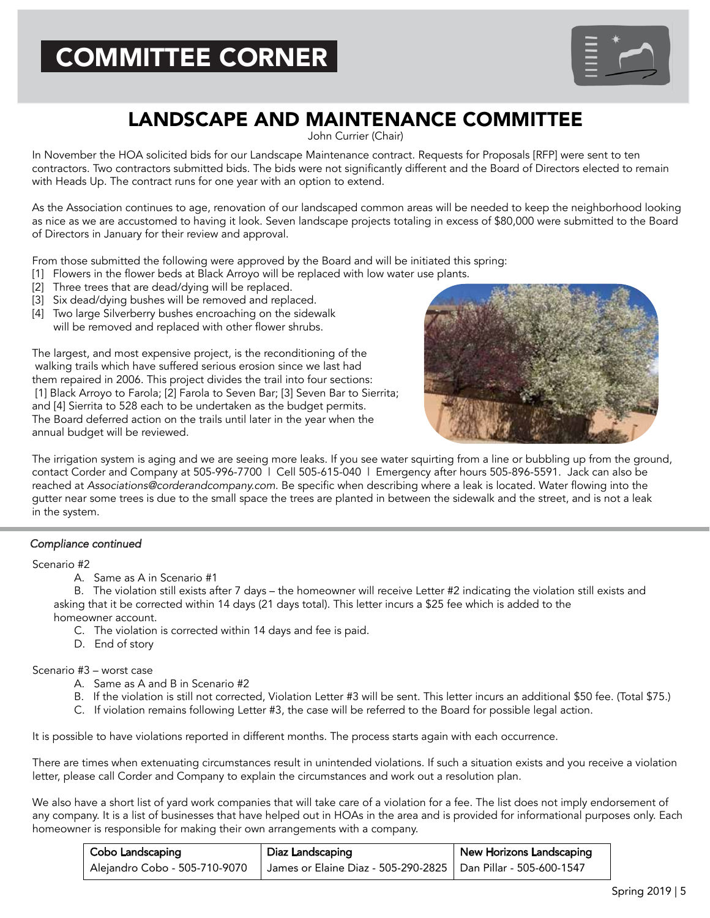

## LANDSCAPE AND MAINTENANCE COMMITTEE

John Currier (Chair)

In November the HOA solicited bids for our Landscape Maintenance contract. Requests for Proposals [RFP] were sent to ten contractors. Two contractors submitted bids. The bids were not significantly different and the Board of Directors elected to remain with Heads Up. The contract runs for one year with an option to extend.

As the Association continues to age, renovation of our landscaped common areas will be needed to keep the neighborhood looking as nice as we are accustomed to having it look. Seven landscape projects totaling in excess of \$80,000 were submitted to the Board of Directors in January for their review and approval.

From those submitted the following were approved by the Board and will be initiated this spring:

- [1] Flowers in the flower beds at Black Arroyo will be replaced with low water use plants.
- [2] Three trees that are dead/dying will be replaced.
- [3] Six dead/dying bushes will be removed and replaced.
- [4] Two large Silverberry bushes encroaching on the sidewalk will be removed and replaced with other flower shrubs.

The largest, and most expensive project, is the reconditioning of the walking trails which have suffered serious erosion since we last had them repaired in 2006. This project divides the trail into four sections: [1] Black Arroyo to Farola; [2] Farola to Seven Bar; [3] Seven Bar to Sierrita; and [4] Sierrita to 528 each to be undertaken as the budget permits. The Board deferred action on the trails until later in the year when the annual budget will be reviewed.



The irrigation system is aging and we are seeing more leaks. If you see water squirting from a line or bubbling up from the ground, contact Corder and Company at 505-996-7700 | Cell 505-615-040 | Emergency after hours 505-896-5591. Jack can also be reached at *Associations@corderandcompany.com*. Be specific when describing where a leak is located. Water flowing into the gutter near some trees is due to the small space the trees are planted in between the sidewalk and the street, and is not a leak in the system.

### *Compliance continued*

#### Scenario #2

A. Same as A in Scenario #1

 B. The violation still exists after 7 days – the homeowner will receive Letter #2 indicating the violation still exists and asking that it be corrected within 14 days (21 days total). This letter incurs a \$25 fee which is added to the homeowner account.

- C. The violation is corrected within 14 days and fee is paid.
- D. End of story

#### Scenario #3 – worst case

- A. Same as A and B in Scenario #2
- B. If the violation is still not corrected, Violation Letter #3 will be sent. This letter incurs an additional \$50 fee. (Total \$75.)
- C. If violation remains following Letter #3, the case will be referred to the Board for possible legal action.

It is possible to have violations reported in different months. The process starts again with each occurrence.

There are times when extenuating circumstances result in unintended violations. If such a situation exists and you receive a violation letter, please call Corder and Company to explain the circumstances and work out a resolution plan.

We also have a short list of yard work companies that will take care of a violation for a fee. The list does not imply endorsement of any company. It is a list of businesses that have helped out in HOAs in the area and is provided for informational purposes only. Each homeowner is responsible for making their own arrangements with a company.

| Cobo Landscaping              | Diaz Landscaping                                                | New Horizons Landscaping |
|-------------------------------|-----------------------------------------------------------------|--------------------------|
| Alejandro Cobo - 505-710-9070 | James or Elaine Diaz - 505-290-2825   Dan Pillar - 505-600-1547 |                          |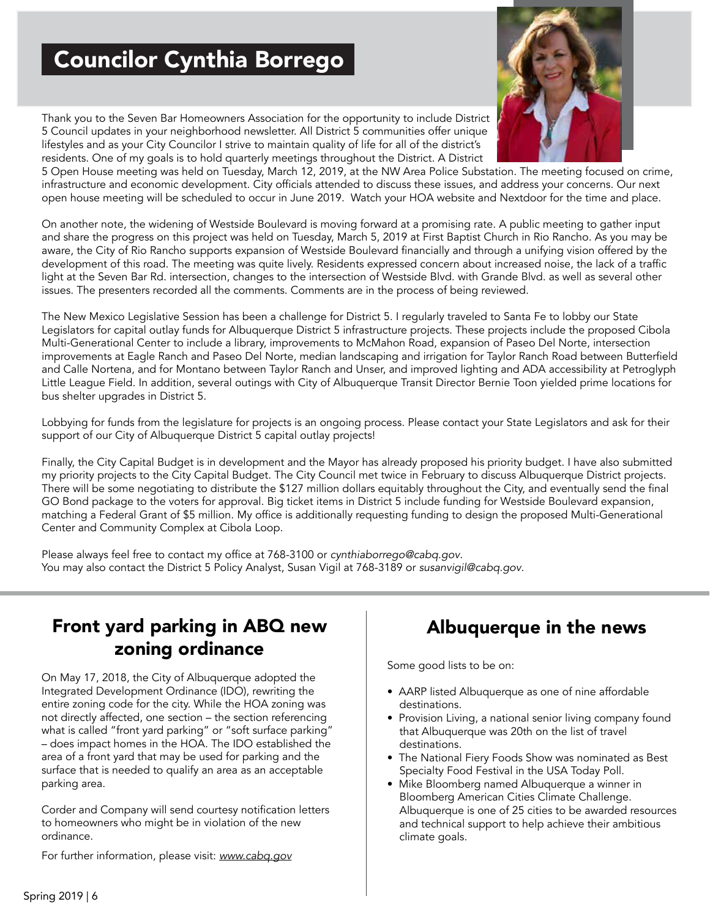## Councilor Cynthia Borrego

Thank you to the Seven Bar Homeowners Association for the opportunity to include District 5 Council updates in your neighborhood newsletter. All District 5 communities offer unique lifestyles and as your City Councilor I strive to maintain quality of life for all of the district's residents. One of my goals is to hold quarterly meetings throughout the District. A District



5 Open House meeting was held on Tuesday, March 12, 2019, at the NW Area Police Substation. The meeting focused on crime, infrastructure and economic development. City officials attended to discuss these issues, and address your concerns. Our next open house meeting will be scheduled to occur in June 2019. Watch your HOA website and Nextdoor for the time and place.

On another note, the widening of Westside Boulevard is moving forward at a promising rate. A public meeting to gather input and share the progress on this project was held on Tuesday, March 5, 2019 at First Baptist Church in Rio Rancho. As you may be aware, the City of Rio Rancho supports expansion of Westside Boulevard financially and through a unifying vision offered by the development of this road. The meeting was quite lively. Residents expressed concern about increased noise, the lack of a traffic light at the Seven Bar Rd. intersection, changes to the intersection of Westside Blvd. with Grande Blvd. as well as several other issues. The presenters recorded all the comments. Comments are in the process of being reviewed.

The New Mexico Legislative Session has been a challenge for District 5. I regularly traveled to Santa Fe to lobby our State Legislators for capital outlay funds for Albuquerque District 5 infrastructure projects. These projects include the proposed Cibola Multi-Generational Center to include a library, improvements to McMahon Road, expansion of Paseo Del Norte, intersection improvements at Eagle Ranch and Paseo Del Norte, median landscaping and irrigation for Taylor Ranch Road between Butterfield and Calle Nortena, and for Montano between Taylor Ranch and Unser, and improved lighting and ADA accessibility at Petroglyph Little League Field. In addition, several outings with City of Albuquerque Transit Director Bernie Toon yielded prime locations for bus shelter upgrades in District 5.

Lobbying for funds from the legislature for projects is an ongoing process. Please contact your State Legislators and ask for their support of our City of Albuquerque District 5 capital outlay projects!

Finally, the City Capital Budget is in development and the Mayor has already proposed his priority budget. I have also submitted my priority projects to the City Capital Budget. The City Council met twice in February to discuss Albuquerque District projects. There will be some negotiating to distribute the \$127 million dollars equitably throughout the City, and eventually send the final GO Bond package to the voters for approval. Big ticket items in District 5 include funding for Westside Boulevard expansion, matching a Federal Grant of \$5 million. My office is additionally requesting funding to design the proposed Multi-Generational Center and Community Complex at Cibola Loop.

Please always feel free to contact my office at 768-3100 or *cynthiaborrego@cabq.gov*. You may also contact the District 5 Policy Analyst, Susan Vigil at 768-3189 or *susanvigil@cabq.gov*.

### Front yard parking in ABQ new zoning ordinance

On May 17, 2018, the City of Albuquerque adopted the Integrated Development Ordinance (IDO), rewriting the entire zoning code for the city. While the HOA zoning was not directly affected, one section – the section referencing what is called "front yard parking" or "soft surface parking" – does impact homes in the HOA. The IDO established the area of a front yard that may be used for parking and the surface that is needed to qualify an area as an acceptable parking area.

Corder and Company will send courtesy notification letters to homeowners who might be in violation of the new ordinance.

For further information, please visit: *www.cabq.gov*

### Albuquerque in the news

Some good lists to be on:

- AARP listed Albuquerque as one of nine affordable destinations.
- Provision Living, a national senior living company found that Albuquerque was 20th on the list of travel destinations.
- The National Fiery Foods Show was nominated as Best Specialty Food Festival in the USA Today Poll.
- Mike Bloomberg named Albuquerque a winner in Bloomberg American Cities Climate Challenge. Albuquerque is one of 25 cities to be awarded resources and technical support to help achieve their ambitious climate goals.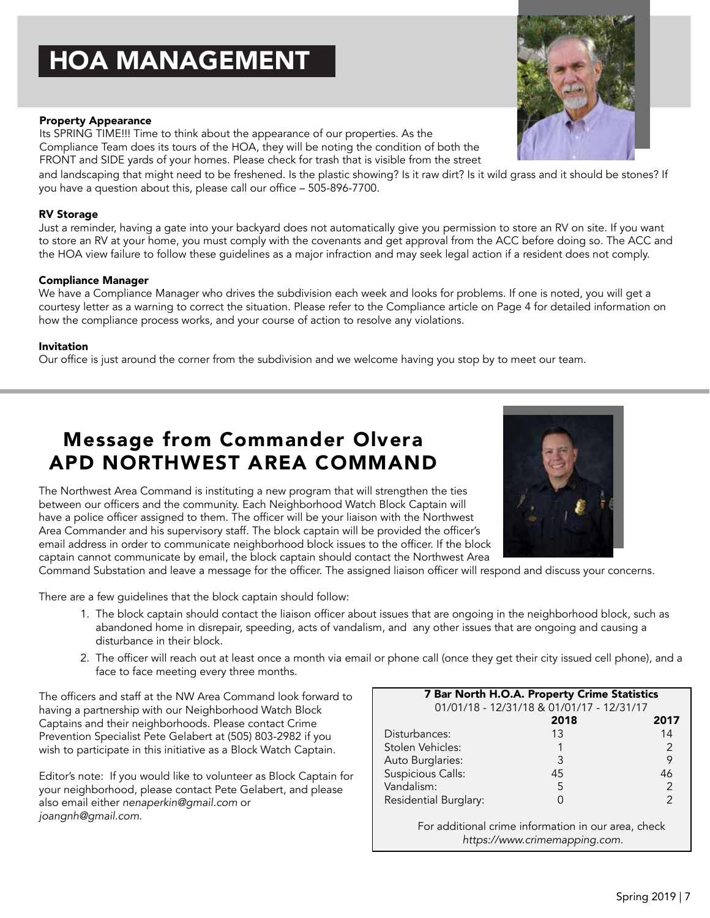# HOA MANAGEMENT

#### Property Appearance

Its SPRING TIME!!! Time to think about the appearance of our properties. As the Compliance Team does its tours of the HOA, they will be noting the condition of both the FRONT and SIDE yards of your homes. Please check for trash that is visible from the street

and landscaping that might need to be freshened. Is the plastic showing? Is it raw dirt? Is it wild grass and it should be stones? If you have a question about this, please call our office – 505-896-7700.

#### RV Storage

Just a reminder, having a gate into your backyard does not automatically give you permission to store an RV on site. If you want to store an RV at your home, you must comply with the covenants and get approval from the ACC before doing so. The ACC and the HOA view failure to follow these guidelines as a major infraction and may seek legal action if a resident does not comply.

#### Compliance Manager

We have a Compliance Manager who drives the subdivision each week and looks for problems. If one is noted, you will get a courtesy letter as a warning to correct the situation. Please refer to the Compliance article on Page 4 for detailed information on how the compliance process works, and your course of action to resolve any violations.

#### Invitation

Our office is just around the corner from the subdivision and we welcome having you stop by to meet our team.

### Message from Commander Olvera APD NORTHWEST AREA COMMAND

The Northwest Area Command is instituting a new program that will strengthen the ties between our officers and the community. Each Neighborhood Watch Block Captain will have a police officer assigned to them. The officer will be your liaison with the Northwest Area Commander and his supervisory staff. The block captain will be provided the officer's email address in order to communicate neighborhood block issues to the officer. If the block captain cannot communicate by email, the block captain should contact the Northwest Area

Command Substation and leave a message for the officer. The assigned liaison officer will respond and discuss your concerns.

There are a few guidelines that the block captain should follow:

- 1. The block captain should contact the liaison officer about issues that are ongoing in the neighborhood block, such as abandoned home in disrepair, speeding, acts of vandalism, and any other issues that are ongoing and causing a disturbance in their block.
- 2. The officer will reach out at least once a month via email or phone call (once they get their city issued cell phone), and a face to face meeting every three months.

The officers and staff at the NW Area Command look forward to having a partnership with our Neighborhood Watch Block Captains and their neighborhoods. Please contact Crime Prevention Specialist Pete Gelabert at (505) 803-2982 if you wish to participate in this initiative as a Block Watch Captain.

Editor's note: If you would like to volunteer as Block Captain for your neighborhood, please contact Pete Gelabert, and please also email either *nenaperkin@gmail.com* or *joangnh@gmail.com*.

| For additional crime information in our area, check<br>https://www.crimemapping.com. |  |
|--------------------------------------------------------------------------------------|--|
|                                                                                      |  |



7 Bar North H.O.A. Property Crime Statistics 01/01/18 - 12/31/18 & 01/01/17 - 12/31/17 2018 2017 Disturbances: 13 14 Stolen Vehicles: 1 2 Auto Burglaries: 3 9 Suspicious Calls: 45 46 Vandalism: 5 2 Residential Burglary: 0 2